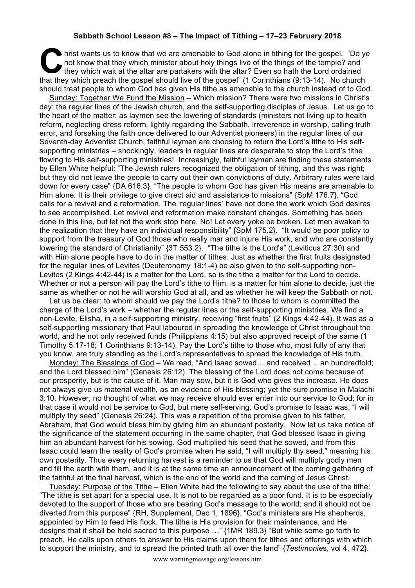## **Sabbath School Lesson #8 – The Impact of Tithing – 17–23 February 2018**

hrist wants us to know that we are amenable to God alone in tithing for the gospel. "Do ye not know that they which minister about holy things live of the things of the temple? and they which wait at the altar are partaker not know that they which minister about holy things live of the things of the temple? and they which wait at the altar are partakers with the altar? Even so hath the Lord ordained that they which preach the gospel should live of the gospel" (1 Corinthians (9:13-14). No church should treat people to whom God has given His tithe as amenable to the church instead of to God.

Sunday: Together We Fund the Mission – Which mission? There were two missions in Christ's day: the regular lines of the Jewish church, and the self-supporting disciples of Jesus. Let us go to the heart of the matter: as laymen see the lowering of standards (ministers not living up to health reform, neglecting dress reform, lightly regarding the Sabbath, irreverence in worship, calling truth error, and forsaking the faith once delivered to our Adventist pioneers) in the regular lines of our Seventh-day Adventist Church, faithful laymen are choosing to return the Lord's tithe to His selfsupporting ministries – shockingly, leaders in regular lines are desperate to stop the Lord's tithe flowing to His self-supporting ministries! Increasingly, faithful laymen are finding these statements by Ellen White helpful: "The Jewish rulers recognized the obligation of tithing, and this was right; but they did not leave the people to carry out their own convictions of duty. Arbitrary rules were laid down for every case" {DA 616.3}. "The people to whom God has given His means are amenable to Him alone. It is their privilege to give direct aid and assistance to missions" {SpM 176.7}. "God calls for a revival and a reformation. The 'regular lines' have not done the work which God desires to see accomplished. Let revival and reformation make constant changes. Something has been done in this line, but let not the work stop here. No! Let every yoke be broken. Let men awaken to the realization that they have an individual responsibility" {SpM 175.2}. "It would be poor policy to support from the treasury of God those who really mar and injure His work, and who are constantly lowering the standard of Christianity" {3T 553.2}. "The tithe is the Lord's" (Leviticus 27:30) and with Him alone people have to do in the matter of tithes. Just as whether the first fruits designated for the regular lines of Levites (Deuteronomy 18:1-4) be also given to the self-supporting non-Levites (2 Kings 4:42-44) is a matter for the Lord, so is the tithe a matter for the Lord to decide. Whether or not a person will pay the Lord's tithe to Him, is a matter for him alone to decide, just the same as whether or not he will worship God at all, and as whether he will keep the Sabbath or not.

Let us be clear: to whom should we pay the Lord's tithe? to those to whom is committed the charge of the Lord's work – whether the regular lines or the self-supporting ministries. We find a non-Levite, Elisha, in a self-supporting ministry, receiving "first fruits" (2 Kings 4:42-44). It was as a self-supporting missionary that Paul laboured in spreading the knowledge of Christ throughout the world, and he not only received funds (Philippians 4:15) but also approved receipt of the same (1 Timothy 5:17-18; 1 Corinthians 9:13-14). Pay the Lord's tithe to those who, most fully of any that you know, are truly standing as the Lord's representatives to spread the knowledge of His truth.

Monday: The Blessings of God – We read, "And Isaac sowed… and received… an hundredfold; and the Lord blessed him" (Genesis 26:12). The blessing of the Lord does not come because of our prosperity, but is the cause of it. Man may sow, but it is God who gives the increase. He does not always give us material wealth, as an evidence of His blessing; yet the sure promise in Malachi 3:10. However, no thought of what we may receive should ever enter into our service to God; for in that case it would not be service to God, but mere self-serving. God's promise to Isaac was, "I will multiply thy seed" (Genesis 26:24). This was a repetition of the promise given to his father, Abraham, that God would bless him by giving him an abundant posterity. Now let us take notice of the significance of the statement occurring in the same chapter, that God blessed Isaac in giving him an abundant harvest for his sowing. God multiplied his seed that he sowed, and from this Isaac could learn the reality of God's promise when He said, "I will multiply thy seed," meaning his own posterity. Thus every returning harvest is a reminder to us that God will multiply godly men and fill the earth with them, and it is at the same time an announcement of the coming gathering of the faithful at the final harvest, which is the end of the world and the coming of Jesus Christ.

Tuesday: Purpose of the Tithe – Ellen White had the following to say about the use of the tithe: "The tithe is set apart for a special use. It is not to be regarded as a poor fund. It is to be especially devoted to the support of those who are bearing God's message to the world; and it should not be diverted from this purpose" {RH, Supplement, Dec 1, 1896}. "God's ministers are His shepherds, appointed by Him to feed His flock. The tithe is His provision for their maintenance, and He designs that it shall be held sacred to this purpose …" {1MR 189.3} "But while some go forth to preach, He calls upon others to answer to His claims upon them for tithes and offerings with which to support the ministry, and to spread the printed truth all over the land" {*Testimonie*s, vol 4, 472}.